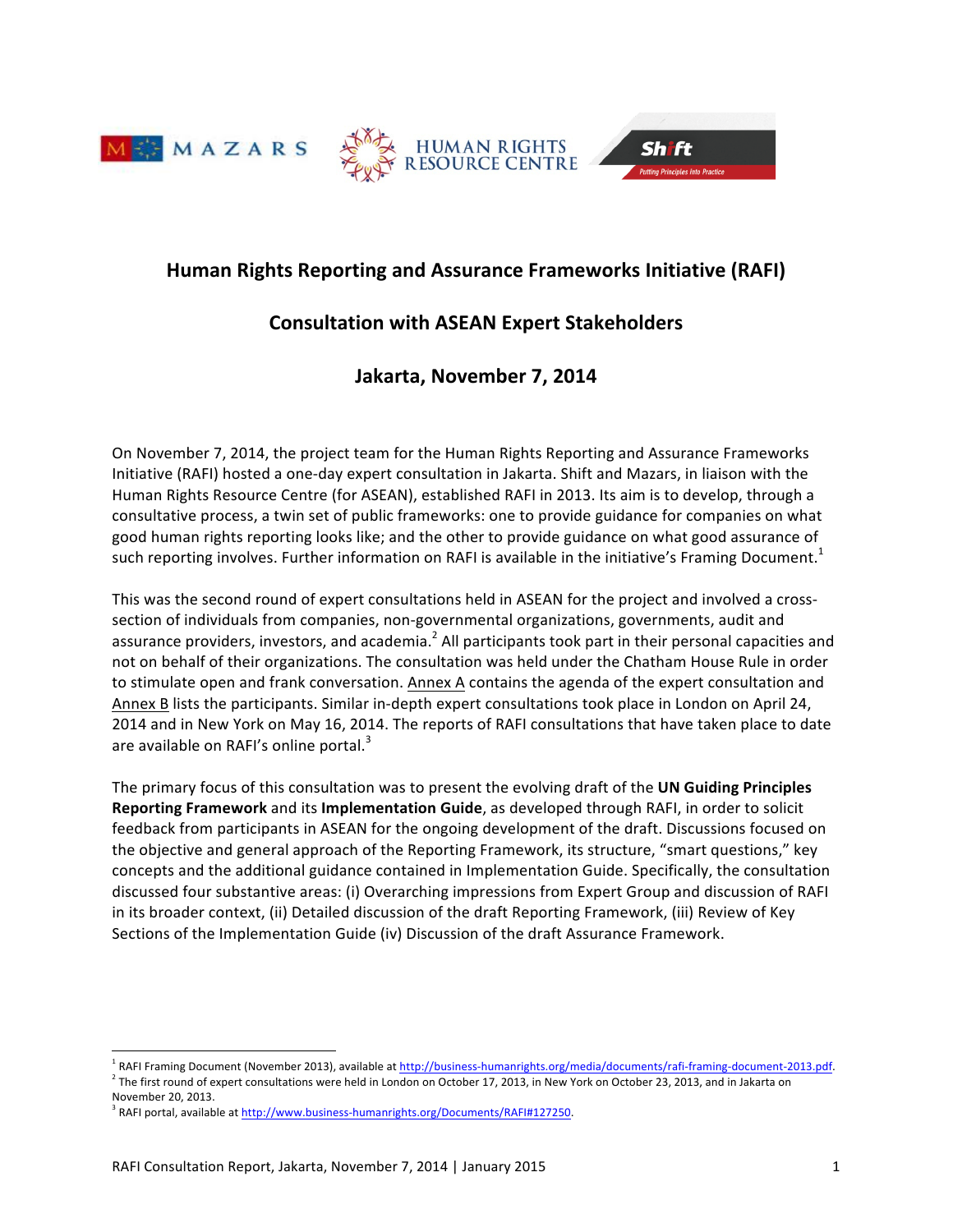





# **Human Rights Reporting and Assurance Frameworks Initiative (RAFI)**

# **Consultation!with!ASEAN!Expert!Stakeholders**

# **Jakarta, November 7, 2014**

On November 7, 2014, the project team for the Human Rights Reporting and Assurance Frameworks Initiative (RAFI) hosted a one-day expert consultation in Jakarta. Shift and Mazars, in liaison with the Human Rights Resource Centre (for ASEAN), established RAFI in 2013. Its aim is to develop, through a consultative process, a twin set of public frameworks: one to provide guidance for companies on what good human rights reporting looks like; and the other to provide guidance on what good assurance of such reporting involves. Further information on RAFI is available in the initiative's Framing Document.<sup>1</sup>

This was the second round of expert consultations held in ASEAN for the project and involved a crosssection of individuals from companies, non-governmental organizations, governments, audit and assurance providers, investors, and academia.<sup>2</sup> All participants took part in their personal capacities and not on behalf of their organizations. The consultation was held under the Chatham House Rule in order to stimulate open and frank conversation. Annex A contains the agenda of the expert consultation and Annex B lists the participants. Similar in-depth expert consultations took place in London on April 24, 2014 and in New York on May 16, 2014. The reports of RAFI consultations that have taken place to date are available on RAFI's online portal. $3$ 

The primary focus of this consultation was to present the evolving draft of the UN Guiding Principles **Reporting Framework** and its **Implementation Guide**, as developed through RAFI, in order to solicit feedback from participants in ASEAN for the ongoing development of the draft. Discussions focused on the objective and general approach of the Reporting Framework, its structure, "smart questions," key concepts and the additional guidance contained in Implementation Guide. Specifically, the consultation discussed four substantive areas: (i) Overarching impressions from Expert Group and discussion of RAFI in its broader context, (ii) Detailed discussion of the draft Reporting Framework, (iii) Review of Key Sections of the Implementation Guide (iv) Discussion of the draft Assurance Framework.

RAFI Framing Document (November 2013), available at http://business-humanrights.org/media/documents/rafi-framing-document-2013.pdf.  $^2$  The first round of expert consultations were held in London on October 17, 2013, in New York on October 23, 2013, and in Jakarta on November 20, 2013.

<sup>&</sup>lt;sup>3</sup> RAFI portal, available at http://www.business-humanrights.org/Documents/RAFI#127250.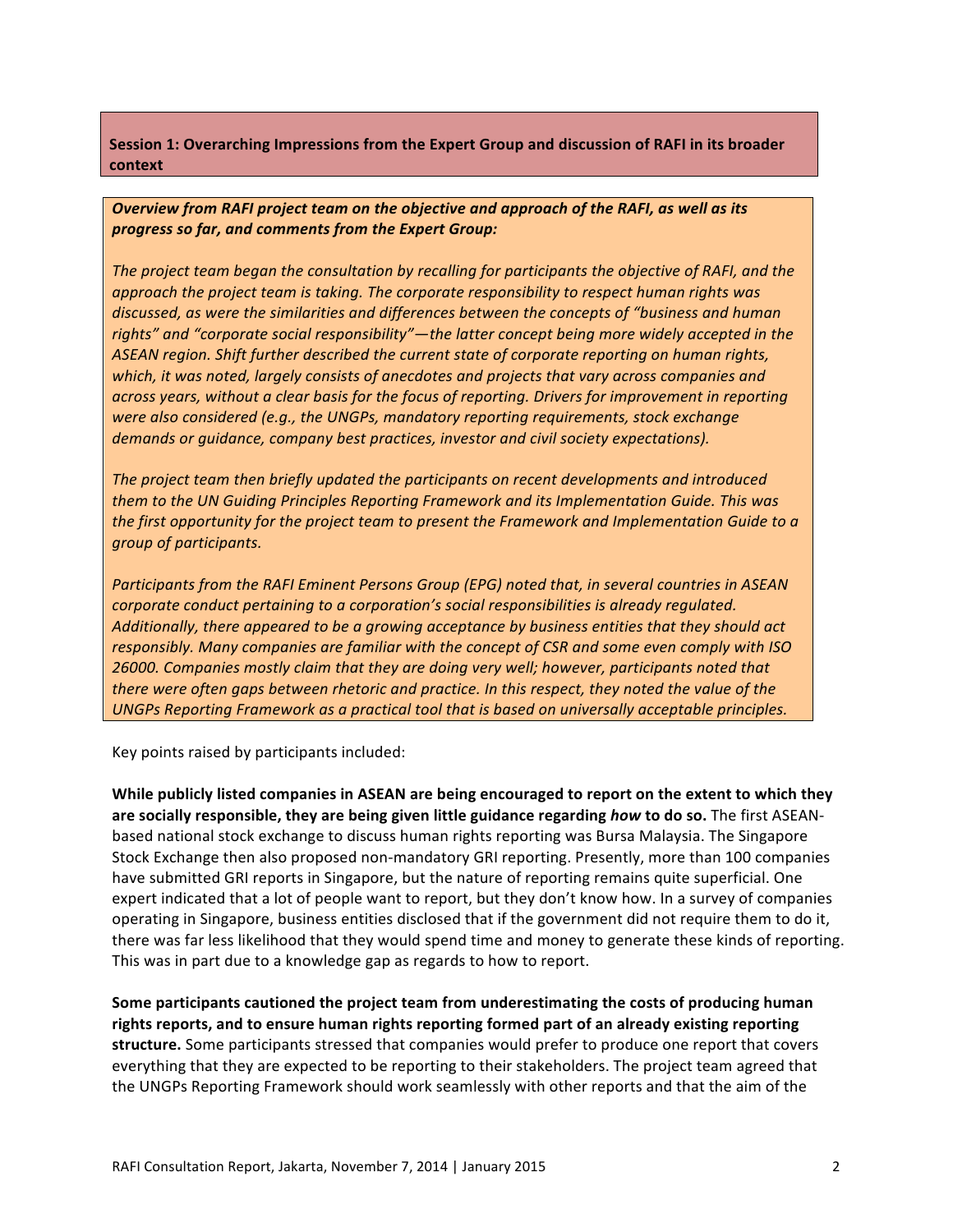**Session 1: Overarching Impressions from the Expert Group and discussion of RAFI in its broader context**

*Overview from RAFI project team on the objective and approach of the RAFI, as well as its progress!so!far,!and!comments!from!the!Expert!Group:*

*The project team began the consultation by recalling for participants the objective of RAFI, and the approach the project team is taking. The corporate responsibility to respect human rights was discussed, as were the similarities and differences between the concepts of "business and human* rights" and "corporate social responsibility"—the latter concept being more widely accepted in the ASEAN region. Shift further described the current state of corporate reporting on human rights, *which, it was noted, largely consists of anecdotes and projects that vary across companies and across years, without a clear basis for the focus of reporting. Drivers for improvement in reporting were also considered (e.g., the UNGPs, mandatory reporting requirements, stock exchange demands or guidance, company best practices, investor and civil society expectations).* 

The project team then briefly updated the participants on recent developments and introduced *them to the UN Guiding Principles Reporting Framework and its Implementation Guide. This was the first opportunity for the project team to present the Framework and Implementation Guide to a group!of!participants.*

*Participants from the RAFI Eminent Persons Group (EPG) noted that, in several countries in ASEAN corporate conduct pertaining to a corporation's social responsibilities is already regulated.* Additionally, there appeared to be a growing acceptance by business entities that they should act *responsibly. Many companies are familiar with the concept of CSR and some even comply with ISO* 26000. Companies mostly claim that they are doing very well; however, participants noted that *there were often gaps between rhetoric and practice. In this respect, they noted the value of the UNGPs* Reporting Framework as a practical tool that is based on universally acceptable principles.

Key points raised by participants included:

While publicly listed companies in ASEAN are being encouraged to report on the extent to which they **are socially responsible, they are being given little guidance regarding** *how* **to do so. The first ASEAN**based national stock exchange to discuss human rights reporting was Bursa Malaysia. The Singapore Stock Exchange then also proposed non-mandatory GRI reporting. Presently, more than 100 companies have submitted GRI reports in Singapore, but the nature of reporting remains quite superficial. One expert indicated that a lot of people want to report, but they don't know how. In a survey of companies operating in Singapore, business entities disclosed that if the government did not require them to do it, there was far less likelihood that they would spend time and money to generate these kinds of reporting. This was in part due to a knowledge gap as regards to how to report.

Some participants cautioned the project team from underestimating the costs of producing human rights reports, and to ensure human rights reporting formed part of an already existing reporting structure. Some participants stressed that companies would prefer to produce one report that covers everything that they are expected to be reporting to their stakeholders. The project team agreed that the UNGPs Reporting Framework should work seamlessly with other reports and that the aim of the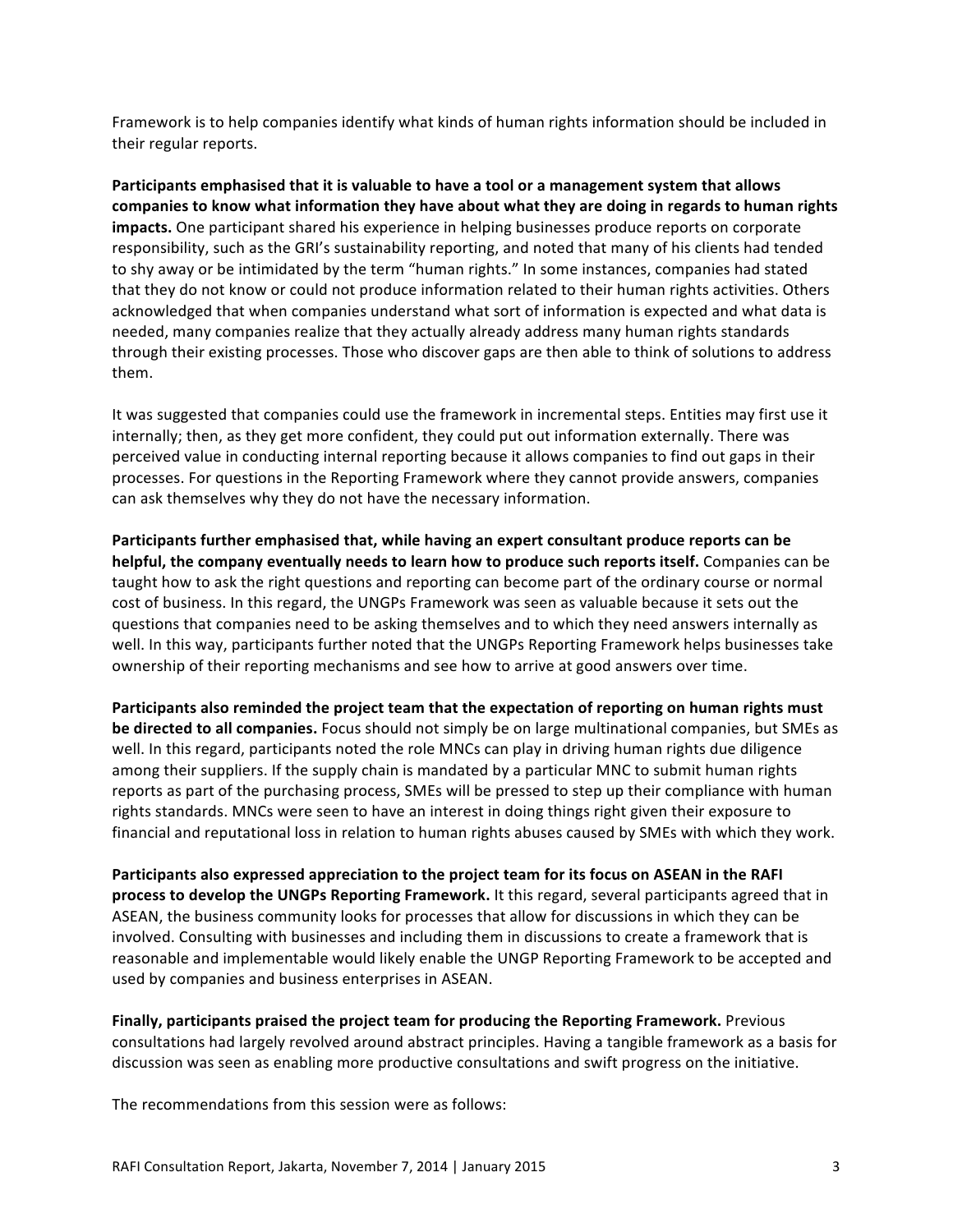Framework is to help companies identify what kinds of human rights information should be included in their regular reports.

**Participants emphasised that it is valuable to have a tool or a management system that allows** companies to know what information they have about what they are doing in regards to human rights impacts. One participant shared his experience in helping businesses produce reports on corporate responsibility, such as the GRI's sustainability reporting, and noted that many of his clients had tended to shy away or be intimidated by the term "human rights." In some instances, companies had stated that they do not know or could not produce information related to their human rights activities. Others acknowledged that when companies understand what sort of information is expected and what data is needed, many companies realize that they actually already address many human rights standards through their existing processes. Those who discover gaps are then able to think of solutions to address them.

It was suggested that companies could use the framework in incremental steps. Entities may first use it internally; then, as they get more confident, they could put out information externally. There was perceived value in conducting internal reporting because it allows companies to find out gaps in their processes. For questions in the Reporting Framework where they cannot provide answers, companies can ask themselves why they do not have the necessary information.

**Participants further emphasised that, while having an expert consultant produce reports can be helpful, the company eventually needs to learn how to produce such reports itself. Companies can be** taught how to ask the right questions and reporting can become part of the ordinary course or normal cost of business. In this regard, the UNGPs Framework was seen as valuable because it sets out the questions that companies need to be asking themselves and to which they need answers internally as well. In this way, participants further noted that the UNGPs Reporting Framework helps businesses take ownership of their reporting mechanisms and see how to arrive at good answers over time.

Participants also reminded the project team that the expectation of reporting on human rights must **be directed to all companies.** Focus should not simply be on large multinational companies, but SMEs as well. In this regard, participants noted the role MNCs can play in driving human rights due diligence among their suppliers. If the supply chain is mandated by a particular MNC to submit human rights reports as part of the purchasing process, SMEs will be pressed to step up their compliance with human rights standards. MNCs were seen to have an interest in doing things right given their exposure to financial and reputational loss in relation to human rights abuses caused by SMEs with which they work.

**Participants also expressed appreciation to the project team for its focus on ASEAN in the RAFI process to develop the UNGPs Reporting Framework.** It this regard, several participants agreed that in ASEAN, the business community looks for processes that allow for discussions in which they can be involved. Consulting with businesses and including them in discussions to create a framework that is reasonable and implementable would likely enable the UNGP Reporting Framework to be accepted and used by companies and business enterprises in ASEAN.

**Finally, participants praised the project team for producing the Reporting Framework.** Previous consultations had largely revolved around abstract principles. Having a tangible framework as a basis for discussion was seen as enabling more productive consultations and swift progress on the initiative.

The recommendations from this session were as follows: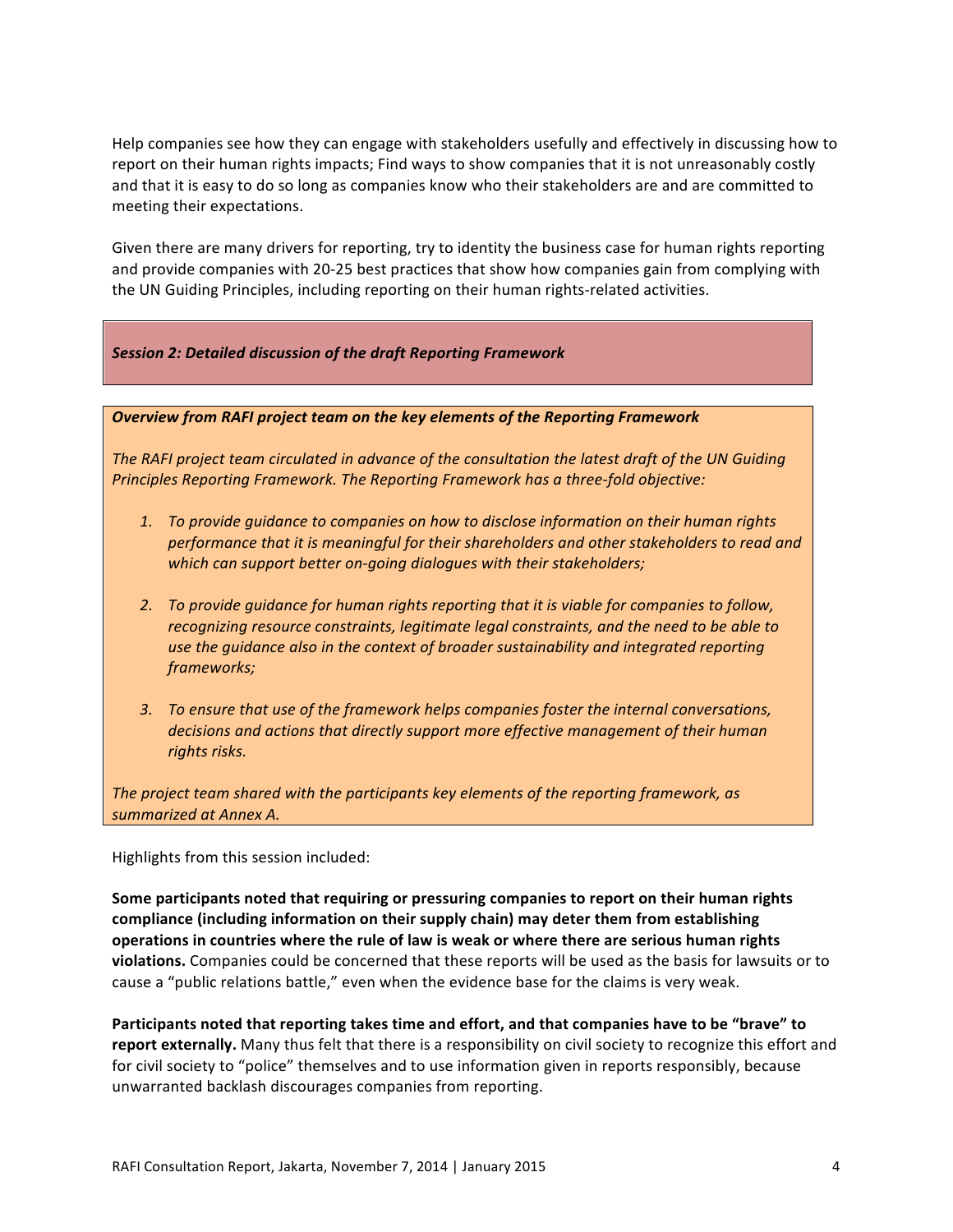Help companies see how they can engage with stakeholders usefully and effectively in discussing how to report on their human rights impacts; Find ways to show companies that it is not unreasonably costly and that it is easy to do so long as companies know who their stakeholders are and are committed to meeting their expectations.

Given there are many drivers for reporting, try to identity the business case for human rights reporting and provide companies with 20-25 best practices that show how companies gain from complying with the UN Guiding Principles, including reporting on their human rights-related activities.

## **Session 2: Detailed discussion of the draft Reporting Framework**

#### **Overview from RAFI project team on the key elements of the Reporting Framework**

*The RAFI project team circulated in advance of the consultation the latest draft of the UN Guiding Principles Reporting Framework. The Reporting Framework has a three-fold objective:* 

- 1. To provide guidance to companies on how to disclose information on their human rights performance that it is meaningful for their shareholders and other stakeholders to read and *which can support better on-going dialogues with their stakeholders;*
- 2. To provide quidance for human rights reporting that it is viable for companies to follow, *recognizing resource constraints, legitimate legal constraints, and the need to be able to* use the quidance also in the context of broader sustainability and integrated reporting *frameworks;*
- 3. To ensure that use of the framework helps companies foster the internal conversations, decisions and actions that directly support more effective management of their human rights risks.

*The project team shared with the participants key elements of the reporting framework, as summarized!at!Annex!A.*

Highlights from this session included:

**Some participants noted that requiring or pressuring companies to report on their human rights compliance (including information on their supply chain) may deter them from establishing operations in countries where the rule of law is weak or where there are serious human rights violations.** Companies could be concerned that these reports will be used as the basis for lawsuits or to cause a "public relations battle," even when the evidence base for the claims is very weak.

Participants noted that reporting takes time and effort, and that companies have to be "brave" to report externally. Many thus felt that there is a responsibility on civil society to recognize this effort and for civil society to "police" themselves and to use information given in reports responsibly, because unwarranted backlash discourages companies from reporting.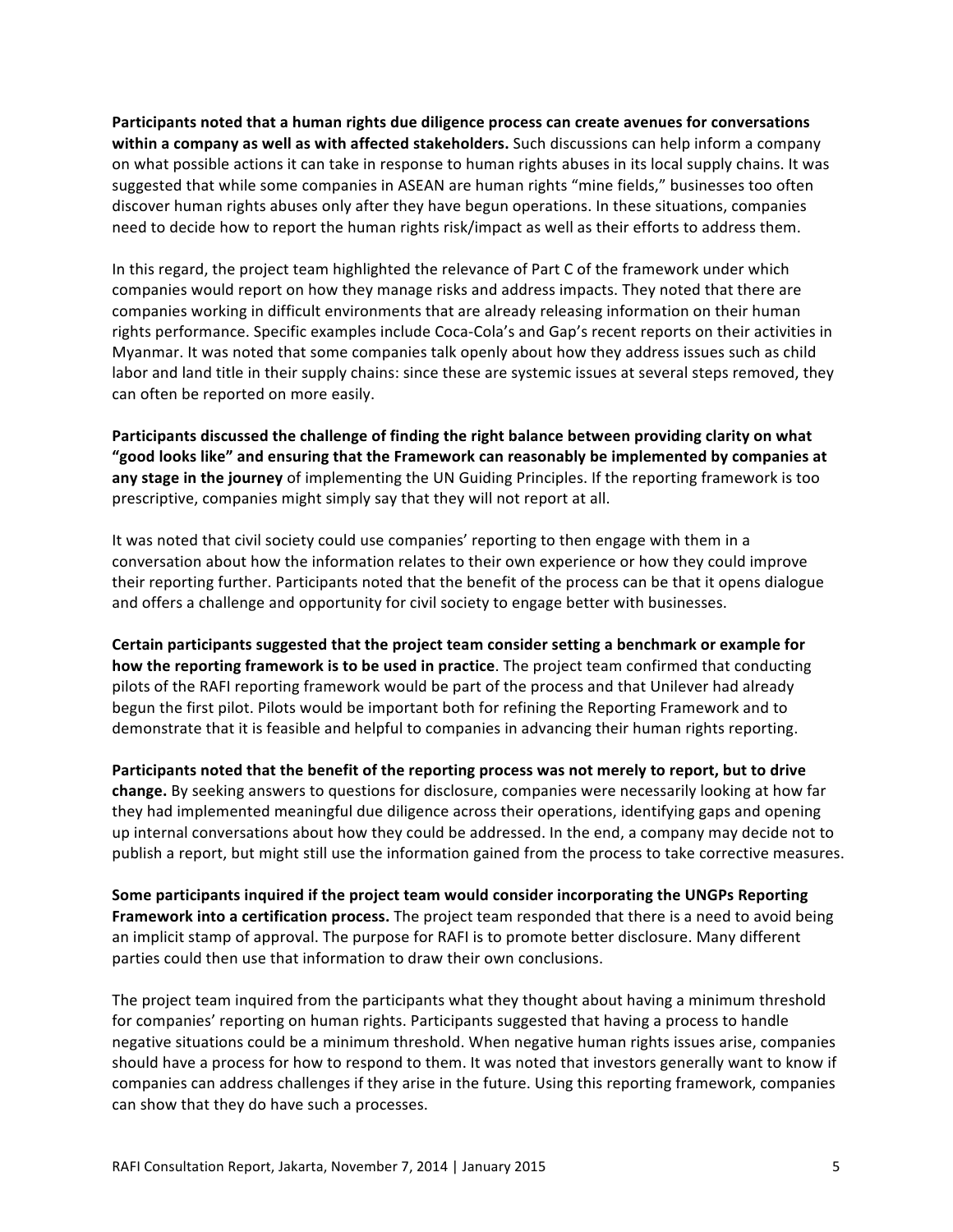**Participants noted that a human rights due diligence process can create avenues for conversations within a company as well as with affected stakeholders.** Such discussions can help inform a company on what possible actions it can take in response to human rights abuses in its local supply chains. It was suggested that while some companies in ASEAN are human rights "mine fields," businesses too often discover human rights abuses only after they have begun operations. In these situations, companies need to decide how to report the human rights risk/impact as well as their efforts to address them.

In this regard, the project team highlighted the relevance of Part C of the framework under which companies would report on how they manage risks and address impacts. They noted that there are companies working in difficult environments that are already releasing information on their human rights performance. Specific examples include Coca-Cola's and Gap's recent reports on their activities in Myanmar. It was noted that some companies talk openly about how they address issues such as child labor and land title in their supply chains: since these are systemic issues at several steps removed, they can often be reported on more easily.

Participants discussed the challenge of finding the right balance between providing clarity on what "good looks like" and ensuring that the Framework can reasonably be implemented by companies at any stage in the journey of implementing the UN Guiding Principles. If the reporting framework is too prescriptive, companies might simply say that they will not report at all.

It was noted that civil society could use companies' reporting to then engage with them in a conversation about how the information relates to their own experience or how they could improve their reporting further. Participants noted that the benefit of the process can be that it opens dialogue and offers a challenge and opportunity for civil society to engage better with businesses.

Certain participants suggested that the project team consider setting a benchmark or example for **how the reporting framework is to be used in practice**. The project team confirmed that conducting pilots of the RAFI reporting framework would be part of the process and that Unilever had already begun the first pilot. Pilots would be important both for refining the Reporting Framework and to demonstrate that it is feasible and helpful to companies in advancing their human rights reporting.

Participants noted that the benefit of the reporting process was not merely to report, but to drive **change.** By seeking answers to questions for disclosure, companies were necessarily looking at how far they had implemented meaningful due diligence across their operations, identifying gaps and opening up internal conversations about how they could be addressed. In the end, a company may decide not to publish a report, but might still use the information gained from the process to take corrective measures.

Some participants inquired if the project team would consider incorporating the UNGPs Reporting Framework into a certification process. The project team responded that there is a need to avoid being an implicit stamp of approval. The purpose for RAFI is to promote better disclosure. Many different parties could then use that information to draw their own conclusions.

The project team inquired from the participants what they thought about having a minimum threshold for companies' reporting on human rights. Participants suggested that having a process to handle negative situations could be a minimum threshold. When negative human rights issues arise, companies should have a process for how to respond to them. It was noted that investors generally want to know if companies can address challenges if they arise in the future. Using this reporting framework, companies can show that they do have such a processes.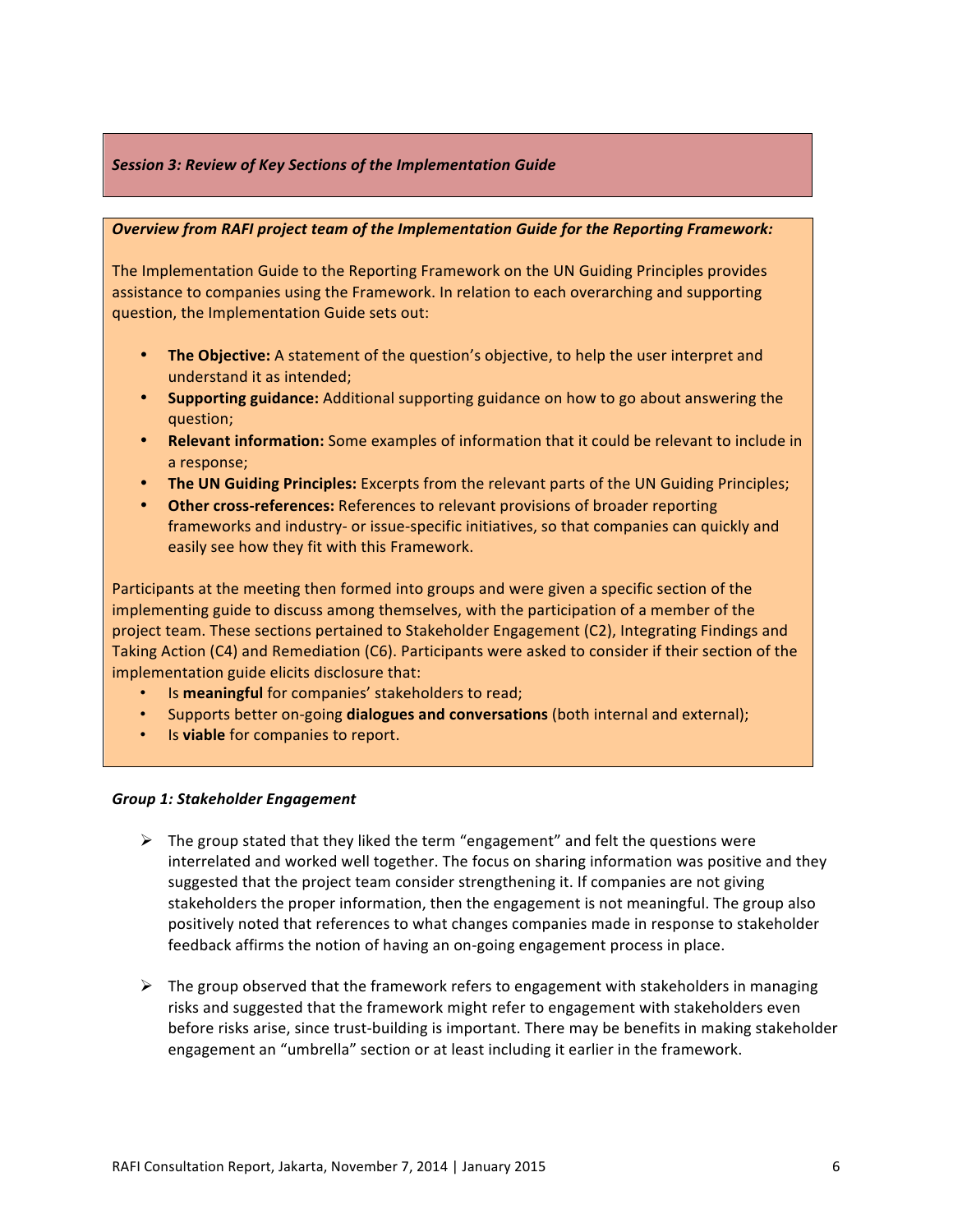### **Session 3: Review of Key Sections of the Implementation Guide**

#### **Overview from RAFI project team of the Implementation Guide for the Reporting Framework:**

The Implementation Guide to the Reporting Framework on the UN Guiding Principles provides assistance to companies using the Framework. In relation to each overarching and supporting question, the Implementation Guide sets out:

- **The Objective:** A statement of the question's objective, to help the user interpret and understand it as intended;
- **Supporting guidance:** Additional supporting guidance on how to go about answering the question;
- Relevant information: Some examples of information that it could be relevant to include in a response;
- The UN Guiding Principles: Excerpts from the relevant parts of the UN Guiding Principles;
- Other cross-references: References to relevant provisions of broader reporting frameworks and industry- or issue-specific initiatives, so that companies can quickly and easily see how they fit with this Framework.

Participants at the meeting then formed into groups and were given a specific section of the implementing guide to discuss among themselves, with the participation of a member of the project team. These sections pertained to Stakeholder Engagement (C2), Integrating Findings and Taking Action (C4) and Remediation (C6). Participants were asked to consider if their section of the implementation guide elicits disclosure that:

- Is **meaningful** for companies' stakeholders to read;
- **Supports better on-going dialogues and conversations** (both internal and external);
- Is **viable** for companies to report.

#### *Group 1: Stakeholder Engagement*

- $\triangleright$  The group stated that they liked the term "engagement" and felt the questions were interrelated and worked well together. The focus on sharing information was positive and they suggested that the project team consider strengthening it. If companies are not giving stakeholders the proper information, then the engagement is not meaningful. The group also positively noted that references to what changes companies made in response to stakeholder feedback affirms the notion of having an on-going engagement process in place.
- $\triangleright$  The group observed that the framework refers to engagement with stakeholders in managing risks and suggested that the framework might refer to engagement with stakeholders even before risks arise, since trust-building is important. There may be benefits in making stakeholder engagement an "umbrella" section or at least including it earlier in the framework.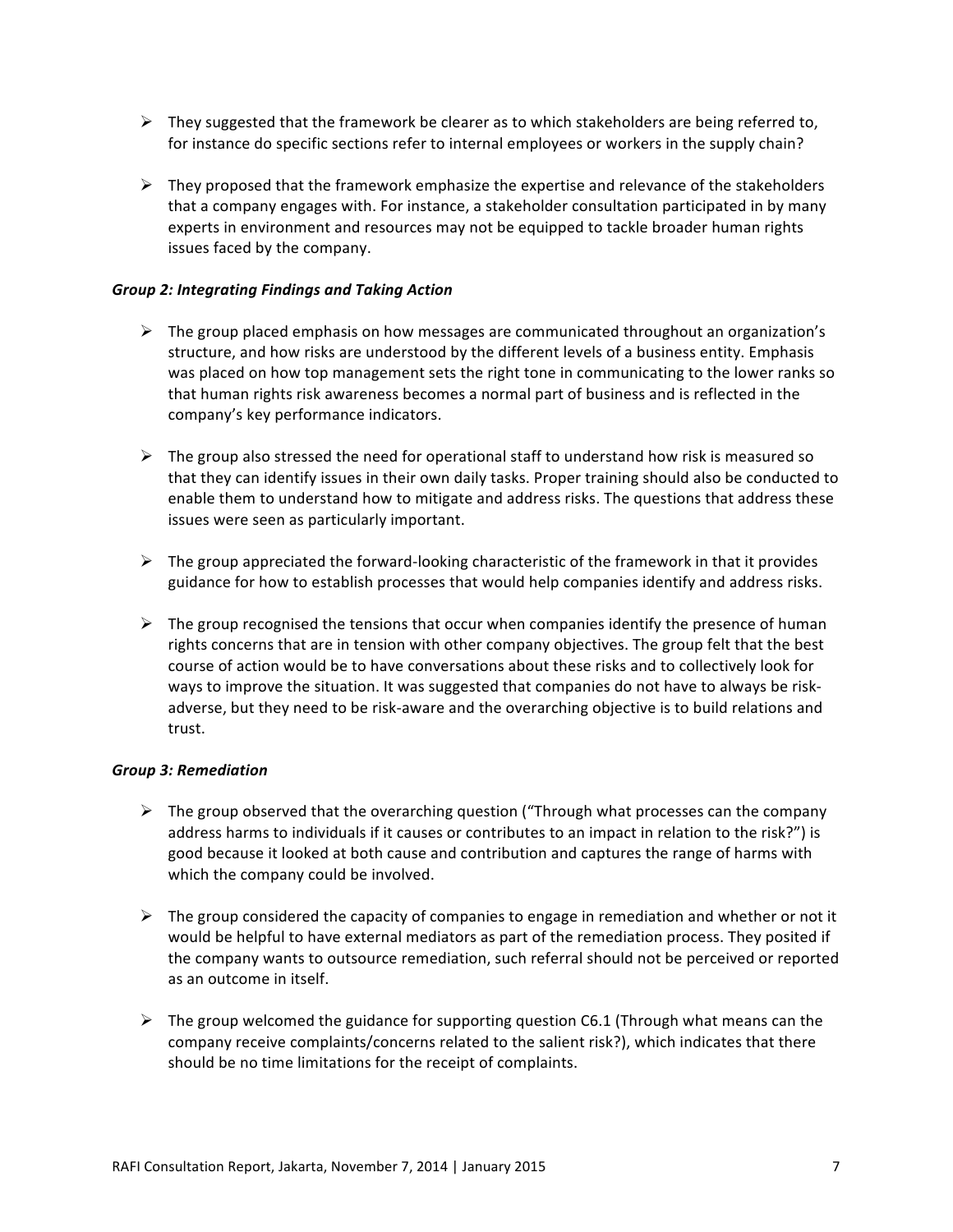- $\triangleright$  They suggested that the framework be clearer as to which stakeholders are being referred to, for instance do specific sections refer to internal employees or workers in the supply chain?
- $\triangleright$  They proposed that the framework emphasize the expertise and relevance of the stakeholders that a company engages with. For instance, a stakeholder consultation participated in by many experts in environment and resources may not be equipped to tackle broader human rights issues faced by the company.

# **Group 2: Integrating Findings and Taking Action**

- $\triangleright$  The group placed emphasis on how messages are communicated throughout an organization's structure, and how risks are understood by the different levels of a business entity. Emphasis was placed on how top management sets the right tone in communicating to the lower ranks so that human rights risk awareness becomes a normal part of business and is reflected in the company's key performance indicators.
- $\triangleright$  The group also stressed the need for operational staff to understand how risk is measured so that they can identify issues in their own daily tasks. Proper training should also be conducted to enable them to understand how to mitigate and address risks. The questions that address these issues were seen as particularly important.
- $\triangleright$  The group appreciated the forward-looking characteristic of the framework in that it provides guidance for how to establish processes that would help companies identify and address risks.
- $\triangleright$  The group recognised the tensions that occur when companies identify the presence of human rights concerns that are in tension with other company objectives. The group felt that the best course of action would be to have conversations about these risks and to collectively look for ways to improve the situation. It was suggested that companies do not have to always be riskadverse, but they need to be risk-aware and the overarching objective is to build relations and trust.

#### *Group!3:!Remediation*

- $\triangleright$  The group observed that the overarching question ("Through what processes can the company") address harms to individuals if it causes or contributes to an impact in relation to the risk?") is good because it looked at both cause and contribution and captures the range of harms with which the company could be involved.
- $\triangleright$  The group considered the capacity of companies to engage in remediation and whether or not it would be helpful to have external mediators as part of the remediation process. They posited if the company wants to outsource remediation, such referral should not be perceived or reported as an outcome in itself.
- $\triangleright$  The group welcomed the guidance for supporting question C6.1 (Through what means can the company receive complaints/concerns related to the salient risk?), which indicates that there should be no time limitations for the receipt of complaints.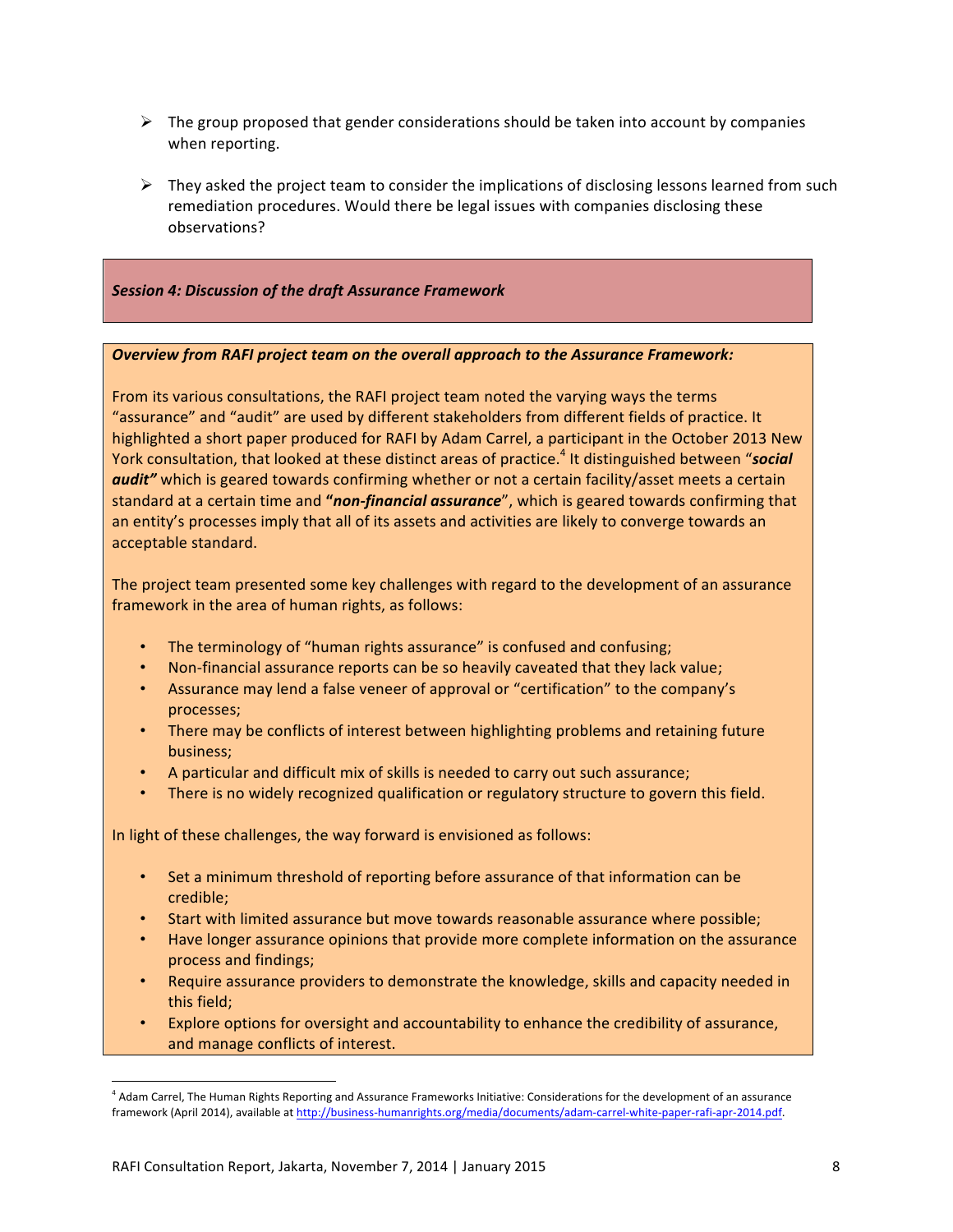- $\triangleright$  The group proposed that gender considerations should be taken into account by companies when reporting.
- $\triangleright$  They asked the project team to consider the implications of disclosing lessons learned from such remediation procedures. Would there be legal issues with companies disclosing these observations?

## *Session!4:!Discussion!of!the draft!Assurance!Framework*

#### **Overview from RAFI project team on the overall approach to the Assurance Framework:**

From its various consultations, the RAFI project team noted the varying ways the terms "assurance" and "audit" are used by different stakeholders from different fields of practice. It highlighted a short paper produced for RAFI by Adam Carrel, a participant in the October 2013 New York consultation, that looked at these distinct areas of practice.<sup>4</sup> It distinguished between "*social* audit" which is geared towards confirming whether or not a certain facility/asset meets a certain standard at a certain time and "*non-financial assurance*", which is geared towards confirming that an entity's processes imply that all of its assets and activities are likely to converge towards an acceptable standard.

The project team presented some key challenges with regard to the development of an assurance framework in the area of human rights, as follows:

- The terminology of "human rights assurance" is confused and confusing;
- Non-financial assurance reports can be so heavily caveated that they lack value;
- Assurance may lend a false veneer of approval or "certification" to the company's processes;
- There may be conflicts of interest between highlighting problems and retaining future business;
- A particular and difficult mix of skills is needed to carry out such assurance;
- There is no widely recognized qualification or regulatory structure to govern this field.

In light of these challenges, the way forward is envisioned as follows:

- Set a minimum threshold of reporting before assurance of that information can be credible;
- Start with limited assurance but move towards reasonable assurance where possible;
- Have longer assurance opinions that provide more complete information on the assurance process and findings;
- Require assurance providers to demonstrate the knowledge, skills and capacity needed in this field;
- Explore options for oversight and accountability to enhance the credibility of assurance, and manage conflicts of interest.

!!!!!!!!!!!!!!!!!!!!!!!!!!!!!!!!!!!!!!!!!!!!!!!!!!!!!!!

<sup>&</sup>lt;sup>4</sup> Adam Carrel, The Human Rights Reporting and Assurance Frameworks Initiative: Considerations for the development of an assurance framework (April 2014), available at http://business-humanrights.org/media/documents/adam-carrel-white-paper-rafi-apr-2014.pdf.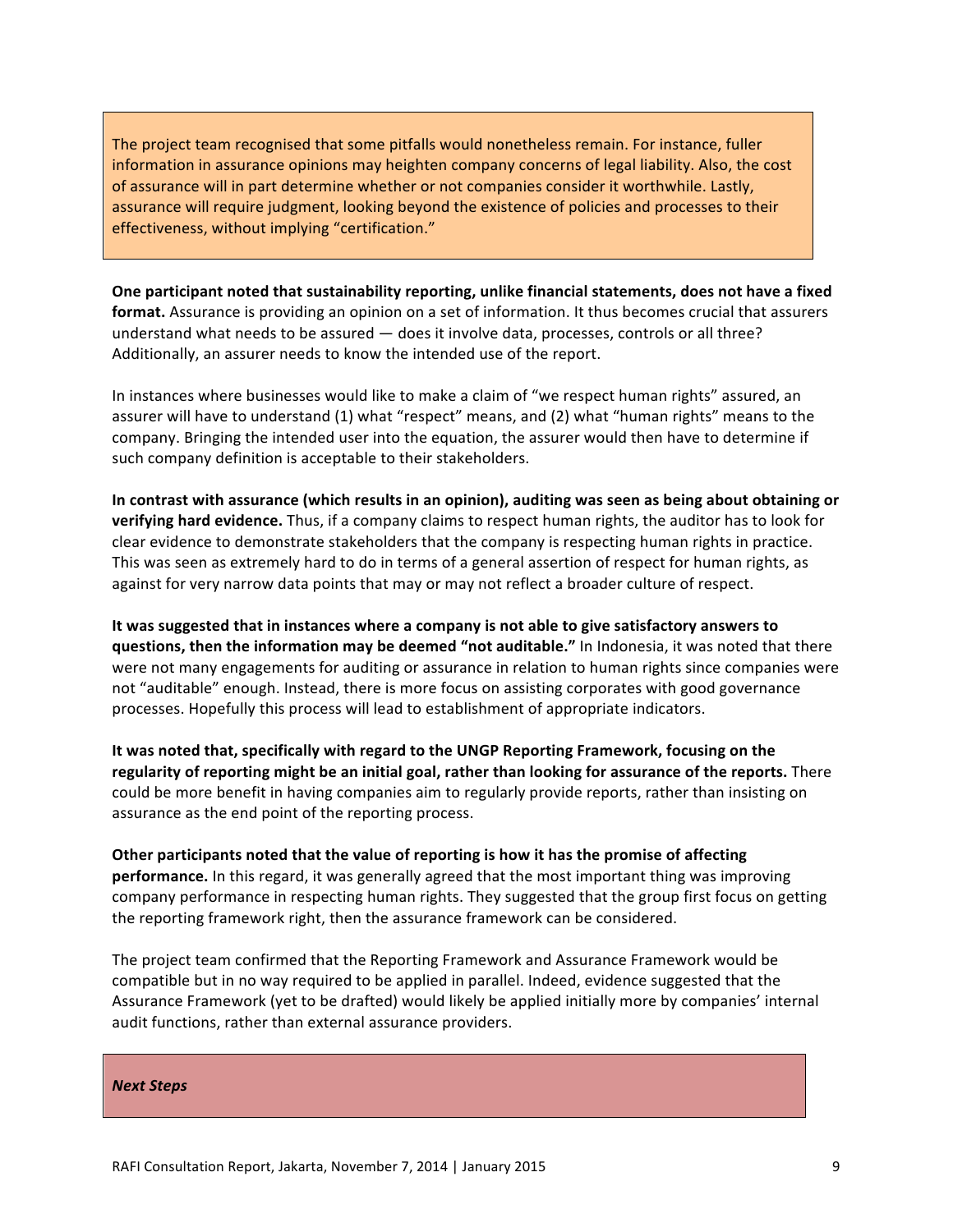The project team recognised that some pitfalls would nonetheless remain. For instance, fuller information in assurance opinions may heighten company concerns of legal liability. Also, the cost of assurance will in part determine whether or not companies consider it worthwhile. Lastly, assurance will require judgment, looking beyond the existence of policies and processes to their effectiveness, without implying "certification."

**One participant noted that sustainability reporting, unlike financial statements, does not have a fixed format.** Assurance is providing an opinion on a set of information. It thus becomes crucial that assurers understand what needs to be assured — does it involve data, processes, controls or all three? Additionally, an assurer needs to know the intended use of the report.

In instances where businesses would like to make a claim of "we respect human rights" assured, an assurer will have to understand (1) what "respect" means, and (2) what "human rights" means to the company. Bringing the intended user into the equation, the assurer would then have to determine if such company definition is acceptable to their stakeholders.

In contrast with assurance (which results in an opinion), auditing was seen as being about obtaining or **verifying hard evidence.** Thus, if a company claims to respect human rights, the auditor has to look for clear evidence to demonstrate stakeholders that the company is respecting human rights in practice. This was seen as extremely hard to do in terms of a general assertion of respect for human rights, as against for very narrow data points that may or may not reflect a broader culture of respect.

It was suggested that in instances where a company is not able to give satisfactory answers to **questions, then the information may be deemed "not auditable."** In Indonesia, it was noted that there were not many engagements for auditing or assurance in relation to human rights since companies were not "auditable" enough. Instead, there is more focus on assisting corporates with good governance processes. Hopefully this process will lead to establishment of appropriate indicators.

It was noted that, specifically with regard to the UNGP Reporting Framework, focusing on the **regularity of reporting might be an initial goal, rather than looking for assurance of the reports.** There could be more benefit in having companies aim to regularly provide reports, rather than insisting on assurance as the end point of the reporting process.

**Other participants noted that the value of reporting is how it has the promise of affecting performance.** In this regard, it was generally agreed that the most important thing was improving company performance in respecting human rights. They suggested that the group first focus on getting the reporting framework right, then the assurance framework can be considered.

The project team confirmed that the Reporting Framework and Assurance Framework would be compatible but in no way required to be applied in parallel. Indeed, evidence suggested that the Assurance Framework (yet to be drafted) would likely be applied initially more by companies' internal audit functions, rather than external assurance providers.

*Next!Steps*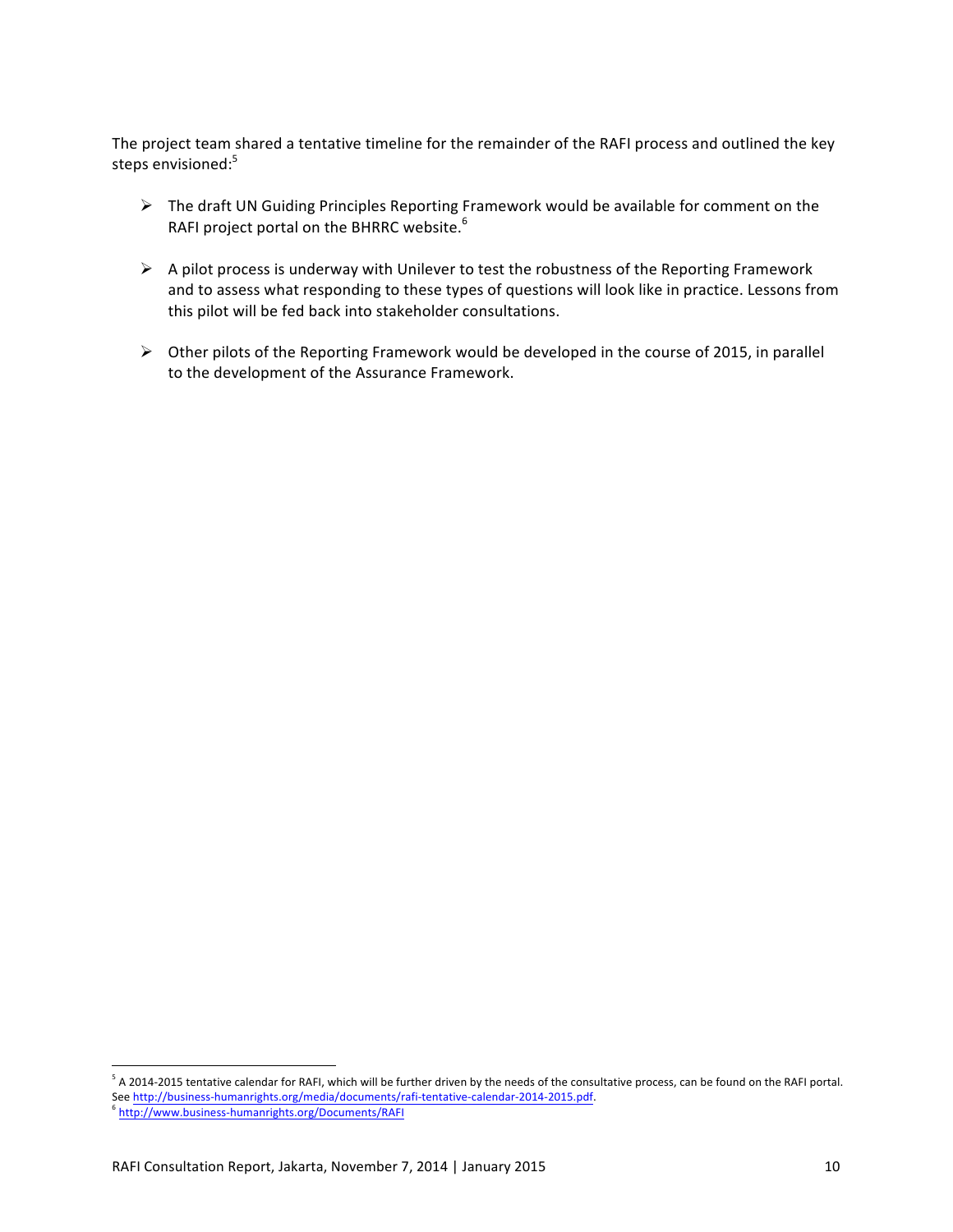The project team shared a tentative timeline for the remainder of the RAFI process and outlined the key steps envisioned:<sup>5</sup>

- $\triangleright$  The draft UN Guiding Principles Reporting Framework would be available for comment on the RAFI project portal on the BHRRC website. $6$
- $\triangleright$  A pilot process is underway with Unilever to test the robustness of the Reporting Framework and to assess what responding to these types of questions will look like in practice. Lessons from this pilot will be fed back into stakeholder consultations.
- $\triangleright$  Other pilots of the Reporting Framework would be developed in the course of 2015, in parallel to the development of the Assurance Framework.

!!!!!!!!!!!!!!!!!!!!!!!!!!!!!!!!!!!!!!!!!!!!!!!!!!!!!!!

 $5$  A 2014-2015 tentative calendar for RAFI, which will be further driven by the needs of the consultative process, can be found on the RAFI portal. See http://business-humanrights.org/media/documents/rafi-tentative-calendar-2014-2015.pdf.

http://www.business-humanrights.org/Documents/RAFI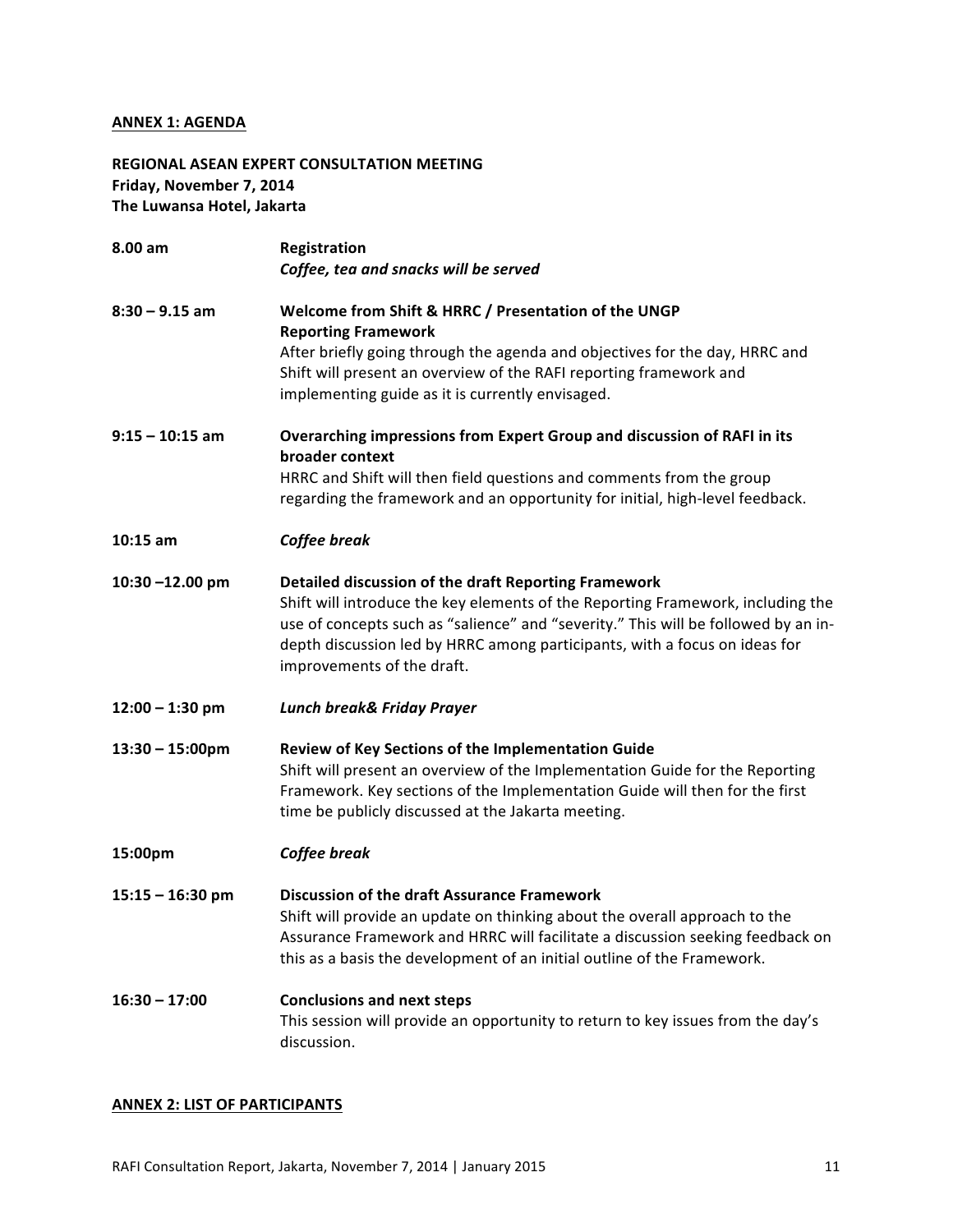## **ANNEX 1: AGENDA**

REGIONAL ASEAN EXPERT CONSULTATION MEETING Friday, November 7, 2014 **The Luwansa Hotel, Jakarta** 

| 8.00 am                   | Registration<br>Coffee, tea and snacks will be served                                                                                                                                                                                                                                                                                     |  |
|---------------------------|-------------------------------------------------------------------------------------------------------------------------------------------------------------------------------------------------------------------------------------------------------------------------------------------------------------------------------------------|--|
| $8:30 - 9.15$ am          | Welcome from Shift & HRRC / Presentation of the UNGP<br><b>Reporting Framework</b><br>After briefly going through the agenda and objectives for the day, HRRC and<br>Shift will present an overview of the RAFI reporting framework and<br>implementing guide as it is currently envisaged.                                               |  |
| $9:15 - 10:15$ am         | Overarching impressions from Expert Group and discussion of RAFI in its<br>broader context<br>HRRC and Shift will then field questions and comments from the group<br>regarding the framework and an opportunity for initial, high-level feedback.                                                                                        |  |
| $10:15$ am                | Coffee break                                                                                                                                                                                                                                                                                                                              |  |
| 10:30-12.00 pm            | Detailed discussion of the draft Reporting Framework<br>Shift will introduce the key elements of the Reporting Framework, including the<br>use of concepts such as "salience" and "severity." This will be followed by an in-<br>depth discussion led by HRRC among participants, with a focus on ideas for<br>improvements of the draft. |  |
| $12:00 - 1:30$ pm         | <b>Lunch break&amp; Friday Prayer</b>                                                                                                                                                                                                                                                                                                     |  |
| $13:30 - 15:00 \text{pm}$ | Review of Key Sections of the Implementation Guide<br>Shift will present an overview of the Implementation Guide for the Reporting<br>Framework. Key sections of the Implementation Guide will then for the first<br>time be publicly discussed at the Jakarta meeting.                                                                   |  |
| 15:00pm                   | Coffee break                                                                                                                                                                                                                                                                                                                              |  |
| $15:15 - 16:30$ pm        | <b>Discussion of the draft Assurance Framework</b><br>Shift will provide an update on thinking about the overall approach to the<br>Assurance Framework and HRRC will facilitate a discussion seeking feedback on<br>this as a basis the development of an initial outline of the Framework.                                              |  |
| $16:30 - 17:00$           | <b>Conclusions and next steps</b><br>This session will provide an opportunity to return to key issues from the day's<br>discussion.                                                                                                                                                                                                       |  |

# **ANNEX 2: LIST OF PARTICIPANTS**